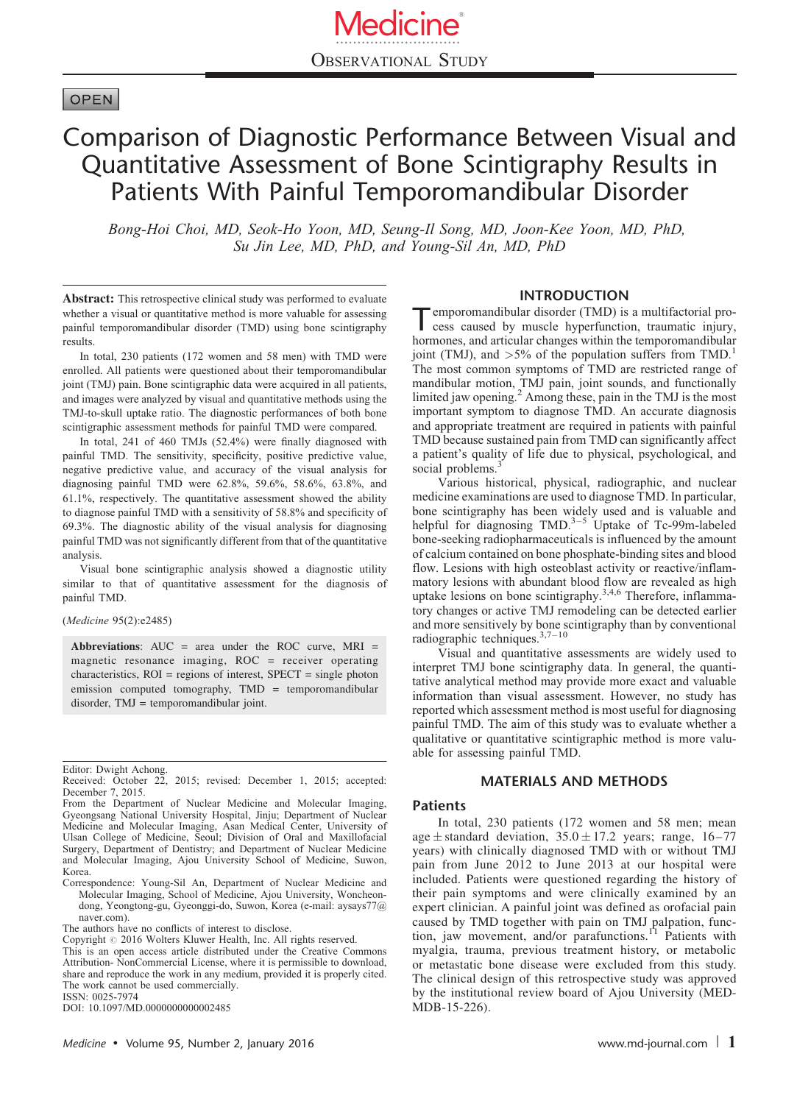## **OPEN**

# Comparison of Diagnostic Performance Between Visual and Quantitative Assessment of Bone Scintigraphy Results in Patients With Painful Temporomandibular Disorder

Bong-Hoi Choi, MD, Seok-Ho Yoon, MD, Seung-Il Song, MD, Joon-Kee Yoon, MD, PhD, Su Jin Lee, MD, PhD, and Young-Sil An, MD, PhD

Abstract: This retrospective clinical study was performed to evaluate whether a visual or quantitative method is more valuable for assessing painful temporomandibular disorder (TMD) using bone scintigraphy results.

In total, 230 patients (172 women and 58 men) with TMD were enrolled. All patients were questioned about their temporomandibular joint (TMJ) pain. Bone scintigraphic data were acquired in all patients, and images were analyzed by visual and quantitative methods using the TMJ-to-skull uptake ratio. The diagnostic performances of both bone scintigraphic assessment methods for painful TMD were compared.

In total, 241 of 460 TMJs (52.4%) were finally diagnosed with painful TMD. The sensitivity, specificity, positive predictive value, negative predictive value, and accuracy of the visual analysis for diagnosing painful TMD were 62.8%, 59.6%, 58.6%, 63.8%, and 61.1%, respectively. The quantitative assessment showed the ability to diagnose painful TMD with a sensitivity of 58.8% and specificity of 69.3%. The diagnostic ability of the visual analysis for diagnosing painful TMD was not significantly different from that of the quantitative analysis.

Visual bone scintigraphic analysis showed a diagnostic utility similar to that of quantitative assessment for the diagnosis of painful TMD.

(Medicine 95(2):e2485)

Abbreviations:  $AUC = area$  under the ROC curve, MRI = magnetic resonance imaging, ROC = receiver operating characteristics, ROI = regions of interest, SPECT = single photon emission computed tomography, TMD = temporomandibular disorder, TMJ = temporomandibular joint.

#### INTRODUCTION

Temporomandibular disorder (TMD) is a multifactorial pro-cess caused by muscle hyperfunction, traumatic injury, hormones, and articular changes within the temporomandibular joint (TMJ), and  $>5\%$  of the population suffers from TMD.<sup>[1](#page-3-0)</sup> The most common symptoms of TMD are restricted range of mandibular motion, TMJ pain, joint sounds, and functionally limited jaw opening.<sup>[2](#page-3-0)</sup> Among these, pain in the TMJ is the most important symptom to diagnose TMD. An accurate diagnosis and appropriate treatment are required in patients with painful TMD because sustained pain from TMD can significantly affect a patient's quality of life due to physical, psychological, and social problems.<sup>[3](#page-3-0)</sup>

Various historical, physical, radiographic, and nuclear medicine examinations are used to diagnose TMD. In particular, bone scintigraphy has been widely used and is valuable and helpful for diagnosing  $TMD.<sup>3-5</sup>$  Uptake of Tc-99m-labeled bone-seeking radiopharmaceuticals is influenced by the amount of calcium contained on bone phosphate-binding sites and blood flow. Lesions with high osteoblast activity or reactive/inflammatory lesions with abundant blood flow are revealed as high uptake lesions on bone scintigraphy.<sup>3,4,6</sup> Therefore, inflammatory changes or active TMJ remodeling can be detected earlier and more sensitively by bone scintigraphy than by conventional radiographic techniques.[3,7–10](#page-3-0)

Visual and quantitative assessments are widely used to interpret TMJ bone scintigraphy data. In general, the quantitative analytical method may provide more exact and valuable information than visual assessment. However, no study has reported which assessment method is most useful for diagnosing painful TMD. The aim of this study was to evaluate whether a qualitative or quantitative scintigraphic method is more valuable for assessing painful TMD.

## MATERIALS AND METHODS

#### Patients

In total, 230 patients (172 women and 58 men; mean age  $\pm$  standard deviation, 35.0  $\pm$  17.2 years; range, 16–77 years) with clinically diagnosed TMD with or without TMJ pain from June 2012 to June 2013 at our hospital were included. Patients were questioned regarding the history of their pain symptoms and were clinically examined by an expert clinician. A painful joint was defined as orofacial pain caused by TMD together with pain on TMJ palpation, function, jaw movement, and/or parafunctions.<sup>[11](#page-3-0)</sup> Patients with myalgia, trauma, previous treatment history, or metabolic or metastatic bone disease were excluded from this study. The clinical design of this retrospective study was approved by the institutional review board of Ajou University (MED-MDB-15-226).

Editor: Dwight Achong. Received: October 22, 2015; revised: December 1, 2015; accepted: December 7, 2015.

From the Department of Nuclear Medicine and Molecular Imaging, Gyeongsang National University Hospital, Jinju; Department of Nuclear Medicine and Molecular Imaging, Asan Medical Center, University of Ulsan College of Medicine, Seoul; Division of Oral and Maxillofacial Surgery, Department of Dentistry; and Department of Nuclear Medicine and Molecular Imaging, Ajou University School of Medicine, Suwon, Korea.

Correspondence: Young-Sil An, Department of Nuclear Medicine and Molecular Imaging, School of Medicine, Ajou University, Woncheondong, Yeongtong-gu, Gyeonggi-do, Suwon, Korea (e-mail: [aysays77@](mailto:aysays77@naver.com) [naver.com\)](mailto:aysays77@naver.com)

The authors have no conflicts of interest to disclose.

Copyright © 2016 Wolters Kluwer Health, Inc. All rights reserved.

This is an open access article distributed under the Creative Commons Attribution- NonCommercial License, where it is permissible to download, share and reproduce the work in any medium, provided it is properly cited. The work cannot be used commercially. ISSN: 0025-7974

DOI: [10.1097/MD.0000000000002485](http://dx.doi.org/10.1097/MD.0000000000002485)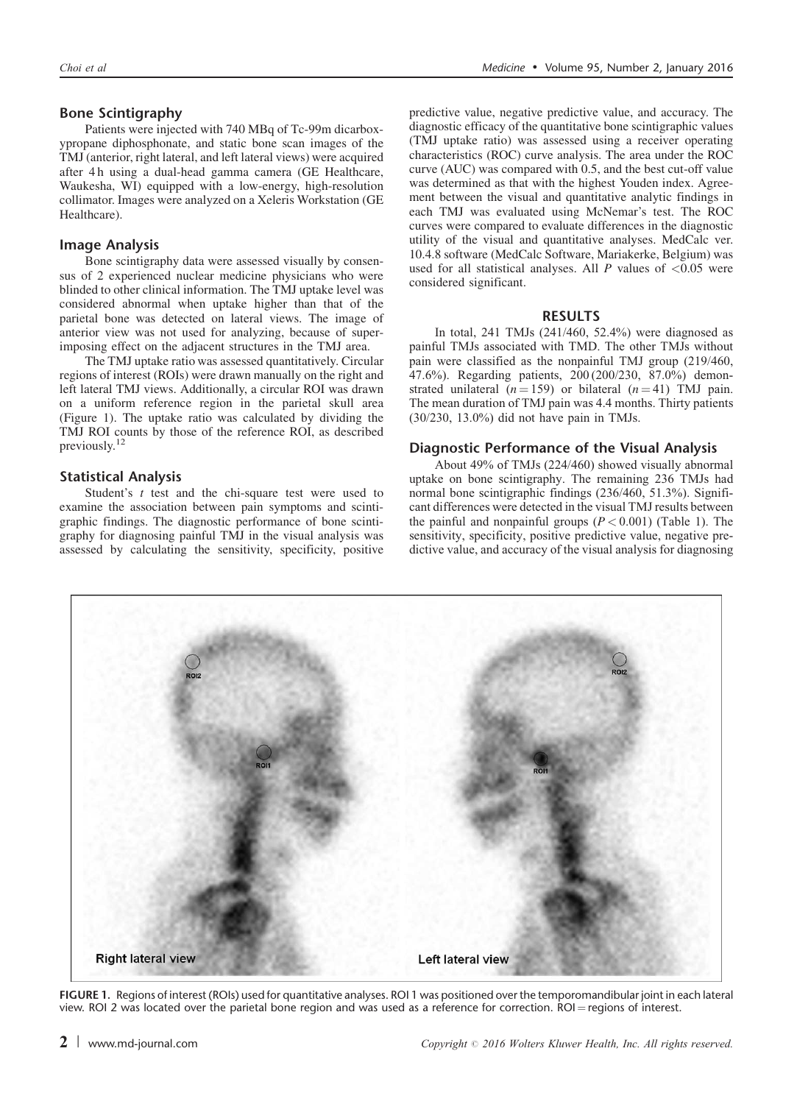## Bone Scintigraphy

Patients were injected with 740 MBq of Tc-99m dicarboxypropane diphosphonate, and static bone scan images of the TMJ (anterior, right lateral, and left lateral views) were acquired after 4 h using a dual-head gamma camera (GE Healthcare, Waukesha, WI) equipped with a low-energy, high-resolution collimator. Images were analyzed on a Xeleris Workstation (GE Healthcare).

### Image Analysis

Bone scintigraphy data were assessed visually by consensus of 2 experienced nuclear medicine physicians who were blinded to other clinical information. The TMJ uptake level was considered abnormal when uptake higher than that of the parietal bone was detected on lateral views. The image of anterior view was not used for analyzing, because of superimposing effect on the adjacent structures in the TMJ area.

The TMJ uptake ratio was assessed quantitatively. Circular regions of interest (ROIs) were drawn manually on the right and left lateral TMJ views. Additionally, a circular ROI was drawn on a uniform reference region in the parietal skull area (Figure 1). The uptake ratio was calculated by dividing the TMJ ROI counts by those of the reference ROI, as described previously.[12](#page-3-0)

#### Statistical Analysis

Student's  $t$  test and the chi-square test were used to examine the association between pain symptoms and scintigraphic findings. The diagnostic performance of bone scintigraphy for diagnosing painful TMJ in the visual analysis was assessed by calculating the sensitivity, specificity, positive predictive value, negative predictive value, and accuracy. The diagnostic efficacy of the quantitative bone scintigraphic values (TMJ uptake ratio) was assessed using a receiver operating characteristics (ROC) curve analysis. The area under the ROC curve (AUC) was compared with 0.5, and the best cut-off value was determined as that with the highest Youden index. Agreement between the visual and quantitative analytic findings in each TMJ was evaluated using McNemar's test. The ROC curves were compared to evaluate differences in the diagnostic utility of the visual and quantitative analyses. MedCalc ver. 10.4.8 software (MedCalc Software, Mariakerke, Belgium) was used for all statistical analyses. All  $P$  values of  $\leq 0.05$  were considered significant.

#### RESULTS

In total, 241 TMJs (241/460, 52.4%) were diagnosed as painful TMJs associated with TMD. The other TMJs without pain were classified as the nonpainful TMJ group (219/460, 47.6%). Regarding patients, 200 (200/230, 87.0%) demonstrated unilateral  $(n = 159)$  or bilateral  $(n = 41)$  TMJ pain. The mean duration of TMJ pain was 4.4 months. Thirty patients (30/230, 13.0%) did not have pain in TMJs.

#### Diagnostic Performance of the Visual Analysis

About 49% of TMJs (224/460) showed visually abnormal uptake on bone scintigraphy. The remaining 236 TMJs had normal bone scintigraphic findings (236/460, 51.3%). Significant differences were detected in the visual TMJ results between the painful and nonpainful groups  $(P < 0.001)$  [\(Table 1\)](#page-2-0). The sensitivity, specificity, positive predictive value, negative predictive value, and accuracy of the visual analysis for diagnosing



FIGURE 1. Regions of interest (ROIs) used for quantitative analyses. ROI 1 was positioned over the temporomandibular joint in each lateral view. ROI 2 was located over the parietal bone region and was used as a reference for correction.  $ROI = regions$  of interest.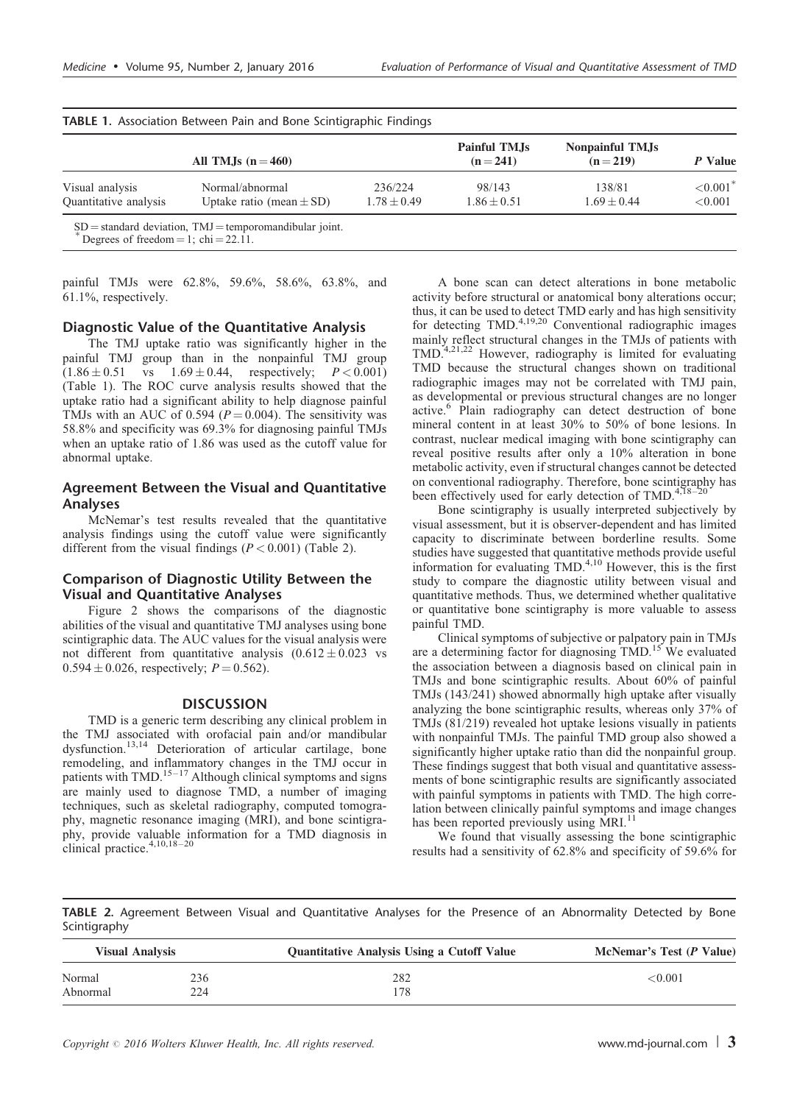<span id="page-2-0"></span>

| All TMJs $(n=460)$    |                              |               | Painful TMJs<br>$(n=241)$ | Nonpainful TM.Js<br>$(n=219)$ | P Value     |
|-----------------------|------------------------------|---------------|---------------------------|-------------------------------|-------------|
| Visual analysis       | Normal/abnormal              | 236/224       | 98/143                    | 138/81                        | ${<}0.001*$ |
| Quantitative analysis | Uptake ratio (mean $\pm$ SD) | $1.78 + 0.49$ | $1.86 \pm 0.51$           | $1.69 + 0.44$                 | ${<}0.001$  |

painful TMJs were 62.8%, 59.6%, 58.6%, 63.8%, and 61.1%, respectively.

#### Diagnostic Value of the Quantitative Analysis

The TMJ uptake ratio was significantly higher in the painful TMJ group than in the nonpainful TMJ group  $(1.86 \pm 0.51 \text{ vs } 1.69 \pm$  $1.69 \pm 0.44$ , respectively;  $P < 0.001$ ) (Table 1). The ROC curve analysis results showed that the uptake ratio had a significant ability to help diagnose painful TMJs with an AUC of 0.594 ( $P = 0.004$ ). The sensitivity was 58.8% and specificity was 69.3% for diagnosing painful TMJs when an uptake ratio of 1.86 was used as the cutoff value for abnormal uptake.

#### Agreement Between the Visual and Quantitative Analyses

McNemar's test results revealed that the quantitative analysis findings using the cutoff value were significantly different from the visual findings  $(P < 0.001)$  (Table 2).

#### Comparison of Diagnostic Utility Between the Visual and Quantitative Analyses

[Figure 2](#page-3-0) shows the comparisons of the diagnostic abilities of the visual and quantitative TMJ analyses using bone scintigraphic data. The AUC values for the visual analysis were not different from quantitative analysis  $(0.612 \pm 0.023$  vs  $0.594 \pm 0.026$ , respectively;  $P = 0.562$ ).

#### DISCUSSION

TMD is a generic term describing any clinical problem in the TMJ associated with orofacial pain and/or mandibular dysfunction.<sup>[13,14](#page-3-0)</sup> Deterioration of articular cartilage, bone remodeling, and inflammatory changes in the TMJ occur in patients with TMD.<sup>15–17</sup> Although clinical symptoms and signs are mainly used to diagnose TMD, a number of imaging techniques, such as skeletal radiography, computed tomography, magnetic resonance imaging (MRI), and bone scintigraphy, provide valuable information for a TMD diagnosis in clinical practice.<sup>4,10,18-20</sup>

A bone scan can detect alterations in bone metabolic activity before structural or anatomical bony alterations occur; thus, it can be used to detect TMD early and has high sensitivity for detecting TMD[.4,19,20](#page-3-0) Conventional radiographic images mainly reflect structural changes in the TMJs of patients with TMD[.4,21,22](#page-3-0) However, radiography is limited for evaluating TMD because the structural changes shown on traditional radiographic images may not be correlated with TMJ pain, as developmental or previous structural changes are no longer active.[6](#page-3-0) Plain radiography can detect destruction of bone mineral content in at least 30% to 50% of bone lesions. In contrast, nuclear medical imaging with bone scintigraphy can reveal positive results after only a 10% alteration in bone metabolic activity, even if structural changes cannot be detected on conventional radiography. Therefore, bone scintigraphy has been effectively used for early detection of TMD. $4,18-20$ 

Bone scintigraphy is usually interpreted subjectively by visual assessment, but it is observer-dependent and has limited capacity to discriminate between borderline results. Some studies have suggested that quantitative methods provide useful information for evaluating TMD.<sup>[4,10](#page-3-0)</sup> However, this is the first study to compare the diagnostic utility between visual and quantitative methods. Thus, we determined whether qualitative or quantitative bone scintigraphy is more valuable to assess painful TMD.

Clinical symptoms of subjective or palpatory pain in TMJs are a determining factor for diagnosing TMD.<sup>15</sup> We evaluated the association between a diagnosis based on clinical pain in TMJs and bone scintigraphic results. About 60% of painful TMJs (143/241) showed abnormally high uptake after visually analyzing the bone scintigraphic results, whereas only 37% of TMJs (81/219) revealed hot uptake lesions visually in patients with nonpainful TMJs. The painful TMD group also showed a significantly higher uptake ratio than did the nonpainful group. These findings suggest that both visual and quantitative assessments of bone scintigraphic results are significantly associated with painful symptoms in patients with TMD. The high correlation between clinically painful symptoms and image changes has been reported previously using MRI.<sup>[11](#page-3-0)</sup>

We found that visually assessing the bone scintigraphic results had a sensitivity of 62.8% and specificity of 59.6% for

TABLE 2. Agreement Between Visual and Quantitative Analyses for the Presence of an Abnormality Detected by Bone Scintigraphy

| <b>Visual Analysis</b> |     | <b>Quantitative Analysis Using a Cutoff Value</b> | McNemar's Test (P Value) |  |
|------------------------|-----|---------------------------------------------------|--------------------------|--|
| Normal                 | 236 | 282                                               | ${<}0.001$               |  |
| Abnormal               | 224 | '78                                               |                          |  |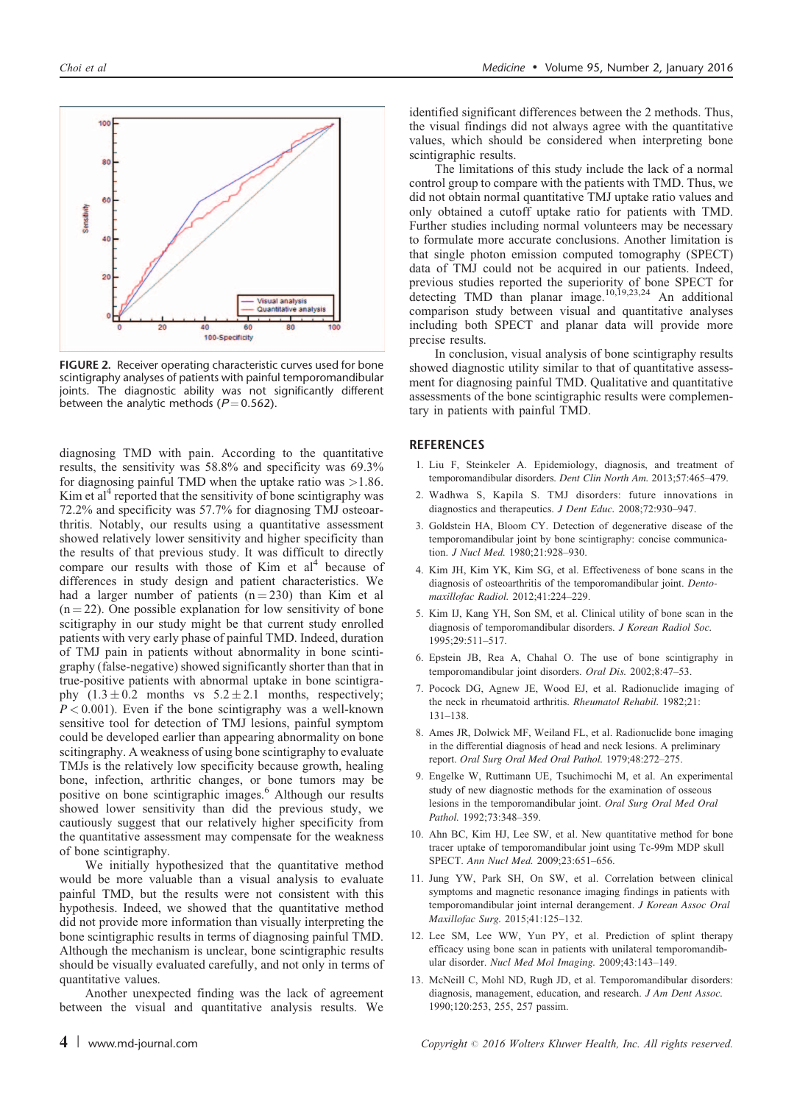<span id="page-3-0"></span>

Visual analysi<br>Quantitative a

FIGURE 2. Receiver operating characteristic curves used for bone scintigraphy analyses of patients with painful temporomandibular joints. The diagnostic ability was not significantly different between the analytic methods ( $P = 0.562$ ).

100-Specificity

diagnosing TMD with pain. According to the quantitative results, the sensitivity was 58.8% and specificity was 69.3% for diagnosing painful TMD when the uptake ratio was  $>1.86$ . Kim et al<sup>4</sup> reported that the sensitivity of bone scintigraphy was 72.2% and specificity was 57.7% for diagnosing TMJ osteoarthritis. Notably, our results using a quantitative assessment showed relatively lower sensitivity and higher specificity than the results of that previous study. It was difficult to directly compare our results with those of Kim et  $al<sup>4</sup>$  because of differences in study design and patient characteristics. We had a larger number of patients  $(n = 230)$  than Kim et al  $(n = 22)$ . One possible explanation for low sensitivity of bone scitigraphy in our study might be that current study enrolled patients with very early phase of painful TMD. Indeed, duration of TMJ pain in patients without abnormality in bone scintigraphy (false-negative) showed significantly shorter than that in true-positive patients with abnormal uptake in bone scintigraphy  $(1.3 \pm 0.2 \text{ months} \text{ vs } 5.2 \pm 2.1 \text{ months}, \text{ respectively};$  $P < 0.001$ ). Even if the bone scintigraphy was a well-known sensitive tool for detection of TMJ lesions, painful symptom could be developed earlier than appearing abnormality on bone scitingraphy. A weakness of using bone scintigraphy to evaluate TMJs is the relatively low specificity because growth, healing bone, infection, arthritic changes, or bone tumors may be positive on bone scintigraphic images.<sup>6</sup> Although our results showed lower sensitivity than did the previous study, we cautiously suggest that our relatively higher specificity from the quantitative assessment may compensate for the weakness of bone scintigraphy.

We initially hypothesized that the quantitative method would be more valuable than a visual analysis to evaluate painful TMD, but the results were not consistent with this hypothesis. Indeed, we showed that the quantitative method did not provide more information than visually interpreting the bone scintigraphic results in terms of diagnosing painful TMD. Although the mechanism is unclear, bone scintigraphic results should be visually evaluated carefully, and not only in terms of quantitative values.

Another unexpected finding was the lack of agreement between the visual and quantitative analysis results. We identified significant differences between the 2 methods. Thus, the visual findings did not always agree with the quantitative values, which should be considered when interpreting bone scintigraphic results.

The limitations of this study include the lack of a normal control group to compare with the patients with TMD. Thus, we did not obtain normal quantitative TMJ uptake ratio values and only obtained a cutoff uptake ratio for patients with TMD. Further studies including normal volunteers may be necessary to formulate more accurate conclusions. Another limitation is that single photon emission computed tomography (SPECT) data of TMJ could not be acquired in our patients. Indeed, previous studies reported the superiority of bone SPECT for detecting TMD than planar image.<sup>10,19,23,24</sup> An additional comparison study between visual and quantitative analyses including both SPECT and planar data will provide more precise results.

In conclusion, visual analysis of bone scintigraphy results showed diagnostic utility similar to that of quantitative assessment for diagnosing painful TMD. Qualitative and quantitative assessments of the bone scintigraphic results were complementary in patients with painful TMD.

#### **REFERENCES**

- 1. Liu F, Steinkeler A. Epidemiology, diagnosis, and treatment of temporomandibular disorders. Dent Clin North Am. 2013;57:465–479.
- 2. Wadhwa S, Kapila S. TMJ disorders: future innovations in diagnostics and therapeutics. J Dent Educ. 2008;72:930–947.
- 3. Goldstein HA, Bloom CY. Detection of degenerative disease of the temporomandibular joint by bone scintigraphy: concise communication. J Nucl Med. 1980;21:928–930.
- 4. Kim JH, Kim YK, Kim SG, et al. Effectiveness of bone scans in the diagnosis of osteoarthritis of the temporomandibular joint. Dentomaxillofac Radiol. 2012;41:224–229.
- 5. Kim IJ, Kang YH, Son SM, et al. Clinical utility of bone scan in the diagnosis of temporomandibular disorders. J Korean Radiol Soc. 1995;29:511–517.
- 6. Epstein JB, Rea A, Chahal O. The use of bone scintigraphy in temporomandibular joint disorders. Oral Dis. 2002;8:47–53.
- 7. Pocock DG, Agnew JE, Wood EJ, et al. Radionuclide imaging of the neck in rheumatoid arthritis. Rheumatol Rehabil. 1982;21: 131–138.
- 8. Ames JR, Dolwick MF, Weiland FL, et al. Radionuclide bone imaging in the differential diagnosis of head and neck lesions. A preliminary report. Oral Surg Oral Med Oral Pathol. 1979;48:272–275.
- 9. Engelke W, Ruttimann UE, Tsuchimochi M, et al. An experimental study of new diagnostic methods for the examination of osseous lesions in the temporomandibular joint. Oral Surg Oral Med Oral Pathol. 1992;73:348–359.
- 10. Ahn BC, Kim HJ, Lee SW, et al. New quantitative method for bone tracer uptake of temporomandibular joint using Tc-99m MDP skull SPECT. Ann Nucl Med. 2009;23:651–656.
- 11. Jung YW, Park SH, On SW, et al. Correlation between clinical symptoms and magnetic resonance imaging findings in patients with temporomandibular joint internal derangement. J Korean Assoc Oral Maxillofac Surg. 2015;41:125–132.
- 12. Lee SM, Lee WW, Yun PY, et al. Prediction of splint therapy efficacy using bone scan in patients with unilateral temporomandibular disorder. Nucl Med Mol Imaging. 2009;43:143–149.
- 13. McNeill C, Mohl ND, Rugh JD, et al. Temporomandibular disorders: diagnosis, management, education, and research. J Am Dent Assoc. 1990;120:253, 255, 257 passim.